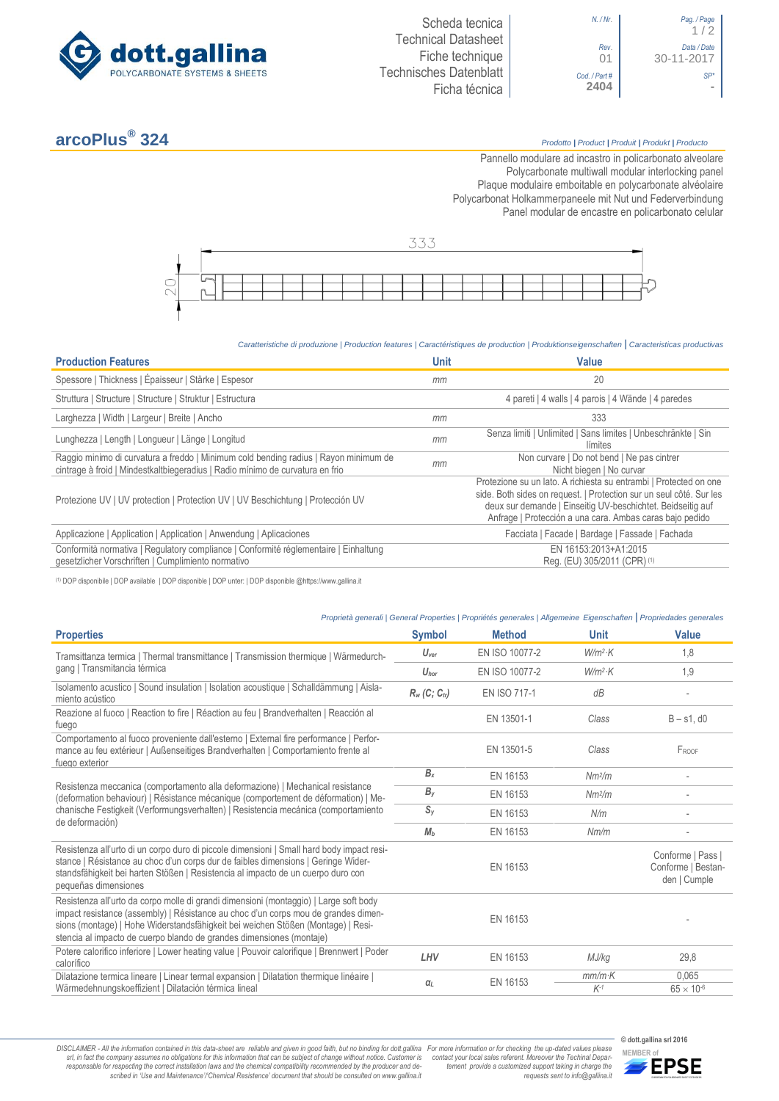



# **arcoPlus®**

## **324** *Prodotto <sup>|</sup> Product <sup>|</sup> Produit <sup>|</sup> Produkt <sup>|</sup> Producto*

Pannello modulare ad incastro in policarbonato alveolare Polycarbonate multiwall modular interlocking panel Plaque modulaire emboitable en polycarbonate alvéolaire Polycarbonat Holkammerpaneele mit Nut und Federverbindung Panel [modular de encastre en policarbonato c](http://www.google.it/url?sa=t&rct=j&q=&esrc=s&source=web&cd=6&ved=0ahUKEwiPyOW6w_3PAhXLORoKHXbkAhUQFggtMAU&url=http%3A%2F%2Fwww.getsl.com%2Fes%2Fmateriales-construccion%2Fsabic-policarbonato%2Fplaca-solida%2Flexan-exell-d-placa-translucida%2F&usg=AFQjCNF4aMpg9CRcF79iWWH-XBKKMH3eWA&bvm=bv.136811127,d.bGs)elular



#### *Caratteristiche di produzione | Production features | Caractéristiques de production | Produktionseigenschaften* **|** *Caracteristicas productivas*

| <b>Production Features</b>                                                                                                                                            | <b>Unit</b> | Value                                                                                                                                                                                                                                                               |
|-----------------------------------------------------------------------------------------------------------------------------------------------------------------------|-------------|---------------------------------------------------------------------------------------------------------------------------------------------------------------------------------------------------------------------------------------------------------------------|
| Spessore   Thickness   Épaisseur   Stärke   Espesor                                                                                                                   | mm          | 20                                                                                                                                                                                                                                                                  |
| Struttura   Structure   Structure   Struktur   Estructura                                                                                                             |             | 4 pareti   4 walls   4 parois   4 Wände   4 paredes                                                                                                                                                                                                                 |
| Larghezza   Width   Largeur   Breite   Ancho                                                                                                                          | mm          | 333                                                                                                                                                                                                                                                                 |
| Lunghezza   Length   Longueur   Länge   Longitud                                                                                                                      | mm          | Senza limiti   Unlimited   Sans limites   Unbeschränkte   Sin<br>límites                                                                                                                                                                                            |
| Raggio minimo di curvatura a freddo   Minimum cold bending radius   Rayon minimum de<br>cintrage à froid   Mindestkaltbiegeradius   Radio mínimo de curvatura en frio | mm          | Non curvare   Do not bend   Ne pas cintrer<br>Nicht biegen   No curvar                                                                                                                                                                                              |
| Protezione UV   UV protection   Protection UV   UV Beschichtung   Protección UV                                                                                       |             | Protezione su un lato. A richiesta su entrambi   Protected on one<br>side. Both sides on request.   Protection sur un seul côté. Sur les<br>deux sur demande   Einseitig UV-beschichtet. Beidseitig auf<br>Anfrage   Protección a una cara. Ambas caras bajo pedido |
| Applicazione   Application   Application   Anwendung   Aplicaciones                                                                                                   |             | Facciata   Facade   Bardage   Fassade   Fachada                                                                                                                                                                                                                     |
| Conformità normativa   Regulatory compliance   Conformité réglementaire   Einhaltung<br>gesetzlicher Vorschriften   Cumplimiento normativo                            |             | EN 16153:2013+A1:2015<br>Reg. (EU) 305/2011 (CPR) (1)                                                                                                                                                                                                               |

(1) DOP disponibile | DOP available | DOP disponible | DOP unter: | DOP disponible @https://www.gallina.it

### *Proprietà generali | General Properties | Propriétés generales | Allgemeine Eigenschaften* **|** *Propriedades generales*

| <b>Properties</b>                                                                                                                                                                                                                                                                                                                       | <b>Symbol</b>               | <b>Method</b>  | <b>Unit</b>        | Value                                                   |
|-----------------------------------------------------------------------------------------------------------------------------------------------------------------------------------------------------------------------------------------------------------------------------------------------------------------------------------------|-----------------------------|----------------|--------------------|---------------------------------------------------------|
| Tramsittanza termica   Thermal transmittance   Transmission thermique   Wärmedurch-<br>gang   Transmitancia térmica                                                                                                                                                                                                                     | $U_{\text{ver}}$            | EN ISO 10077-2 | $W/m^2$ K          | 1,8                                                     |
|                                                                                                                                                                                                                                                                                                                                         | $U_{\text{hor}}$            | EN ISO 10077-2 | $W/m^2$ K          | 1,9                                                     |
| Isolamento acustico   Sound insulation   Isolation acoustique   Schalldämmung   Aisla-<br>miento acústico                                                                                                                                                                                                                               | $R_w$ (C; C <sub>tr</sub> ) | EN ISO 717-1   | dB                 |                                                         |
| Reazione al fuoco   Reaction to fire   Réaction au feu   Brandverhalten   Reacción al<br>fuego                                                                                                                                                                                                                                          |                             | EN 13501-1     | Class              | $B - s1$ , d $0$                                        |
| Comportamento al fuoco proveniente dall'esterno   External fire performance   Perfor-<br>mance au feu extérieur   Außenseitiges Brandverhalten   Comportamiento frente al<br>fuego exterior                                                                                                                                             |                             | EN 13501-5     | Class              | FROOF                                                   |
| Resistenza meccanica (comportamento alla deformazione)   Mechanical resistance<br>(deformation behaviour)   Résistance mécanique (comportement de déformation)   Me-<br>chanische Festigkeit (Verformungsverhalten)   Resistencia mecánica (comportamiento<br>de deformación)                                                           | $B_x$                       | EN 16153       | Nm <sup>2</sup> /m | $\overline{\phantom{a}}$                                |
|                                                                                                                                                                                                                                                                                                                                         | $B_y$                       | EN 16153       | Nm <sup>2</sup> /m |                                                         |
|                                                                                                                                                                                                                                                                                                                                         | $S_{V}$                     | EN 16153       | N/m                |                                                         |
|                                                                                                                                                                                                                                                                                                                                         | M <sub>b</sub>              | EN 16153       | Nm/m               |                                                         |
| Resistenza all'urto di un corpo duro di piccole dimensioni   Small hard body impact resi-<br>stance   Résistance au choc d'un corps dur de faibles dimensions   Geringe Wider-<br>standsfähigkeit bei harten Stößen   Resistencia al impacto de un cuerpo duro con<br>pequeñas dimensiones                                              |                             | EN 16153       |                    | Conforme   Pass  <br>Conforme   Bestan-<br>den   Cumple |
| Resistenza all'urto da corpo molle di grandi dimensioni (montaggio)   Large soft body<br>impact resistance (assembly)   Résistance au choc d'un corps mou de grandes dimen-<br>sions (montage)   Hohe Widerstandsfähigkeit bei weichen Stößen (Montage)   Resi-<br>stencia al impacto de cuerpo blando de grandes dimensiones (montaje) |                             | EN 16153       |                    |                                                         |
| Potere calorifico inferiore   Lower heating value   Pouvoir calorifique   Brennwert   Poder<br>calorífico                                                                                                                                                                                                                               | LHV                         | EN 16153       | MJ/kg              | 29,8                                                    |
| Dilatazione termica lineare   Linear termal expansion   Dilatation thermique linéaire  <br>Wärmedehnungskoeffizient   Dilatación térmica lineal                                                                                                                                                                                         | $\alpha_L$                  | EN 16153       | $mm/m$ K<br>$K-1$  | 0,065<br>$65 \times 10^{-6}$                            |
|                                                                                                                                                                                                                                                                                                                                         |                             |                |                    |                                                         |

DISCLAIMER - All the information contained in this data-sheet are reliable and given in good faith, but no binding for dott.gallina For more information or for checking the up-dated values please<br>-srl, in fact the company -responsable for respecting the correct installation laws and the chemical compatibility recommended by the producer and de-<br>scribed in 'Use and Maintenance'/'Chemical Resistence' document that should be consulted on www.g

**© dott.gallina srl 2016** *tement provide a customized support taking in charge the requests sent to info@gallina.it*